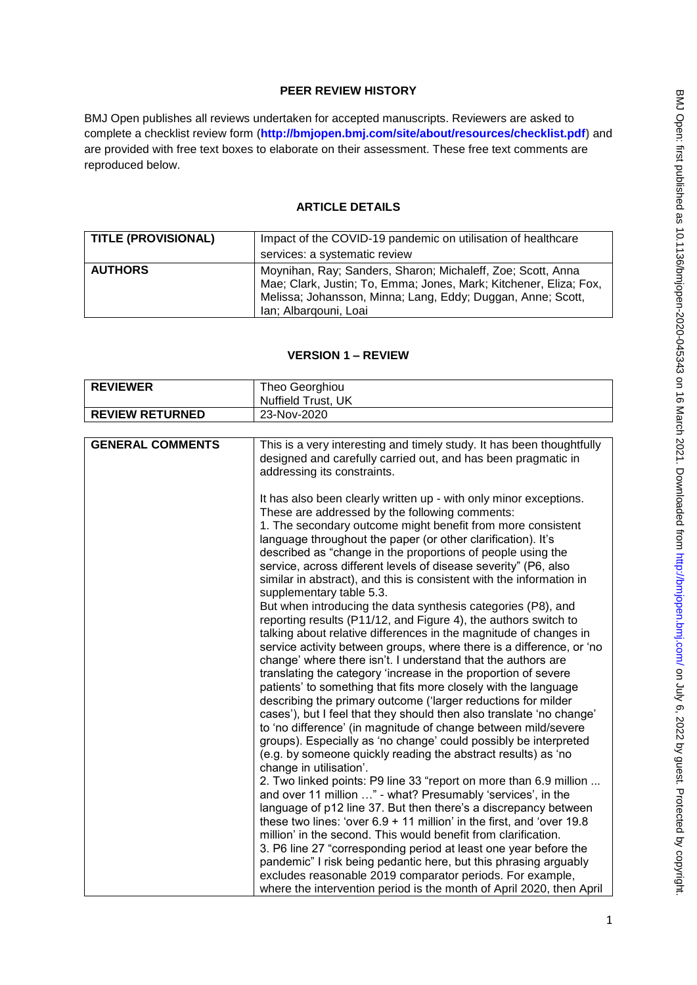# **PEER REVIEW HISTORY**

BMJ Open publishes all reviews undertaken for accepted manuscripts. Reviewers are asked to complete a checklist review form (**[http://bmjopen.bmj.com/site/about/resources/checklist.pdf\)](http://bmjopen.bmj.com/site/about/resources/checklist.pdf)** and are provided with free text boxes to elaborate on their assessment. These free text comments are reproduced below.

## **ARTICLE DETAILS**

| <b>TITLE (PROVISIONAL)</b> | Impact of the COVID-19 pandemic on utilisation of healthcare                                                                                                                                                             |
|----------------------------|--------------------------------------------------------------------------------------------------------------------------------------------------------------------------------------------------------------------------|
|                            | services: a systematic review                                                                                                                                                                                            |
| <b>AUTHORS</b>             | Moynihan, Ray; Sanders, Sharon; Michaleff, Zoe; Scott, Anna<br>Mae; Clark, Justin; To, Emma; Jones, Mark; Kitchener, Eliza; Fox,<br>Melissa; Johansson, Minna; Lang, Eddy; Duggan, Anne; Scott,<br>Ian; Albargouni, Loai |

### **VERSION 1 – REVIEW**

| <b>REVIEWER</b>         | Theo Georghiou                                                                                                                                                                                                                                                                                                                                                                                                                                                                                                                                                                                                                                                                                                                                                                                                                                                                                                                                                                                                                                                                                                                                                                           |
|-------------------------|------------------------------------------------------------------------------------------------------------------------------------------------------------------------------------------------------------------------------------------------------------------------------------------------------------------------------------------------------------------------------------------------------------------------------------------------------------------------------------------------------------------------------------------------------------------------------------------------------------------------------------------------------------------------------------------------------------------------------------------------------------------------------------------------------------------------------------------------------------------------------------------------------------------------------------------------------------------------------------------------------------------------------------------------------------------------------------------------------------------------------------------------------------------------------------------|
|                         | Nuffield Trust, UK                                                                                                                                                                                                                                                                                                                                                                                                                                                                                                                                                                                                                                                                                                                                                                                                                                                                                                                                                                                                                                                                                                                                                                       |
| <b>REVIEW RETURNED</b>  | 23-Nov-2020                                                                                                                                                                                                                                                                                                                                                                                                                                                                                                                                                                                                                                                                                                                                                                                                                                                                                                                                                                                                                                                                                                                                                                              |
|                         |                                                                                                                                                                                                                                                                                                                                                                                                                                                                                                                                                                                                                                                                                                                                                                                                                                                                                                                                                                                                                                                                                                                                                                                          |
| <b>GENERAL COMMENTS</b> | This is a very interesting and timely study. It has been thoughtfully<br>designed and carefully carried out, and has been pragmatic in<br>addressing its constraints.                                                                                                                                                                                                                                                                                                                                                                                                                                                                                                                                                                                                                                                                                                                                                                                                                                                                                                                                                                                                                    |
|                         | It has also been clearly written up - with only minor exceptions.<br>These are addressed by the following comments:<br>1. The secondary outcome might benefit from more consistent<br>language throughout the paper (or other clarification). It's<br>described as "change in the proportions of people using the<br>service, across different levels of disease severity" (P6, also<br>similar in abstract), and this is consistent with the information in<br>supplementary table 5.3.<br>But when introducing the data synthesis categories (P8), and<br>reporting results (P11/12, and Figure 4), the authors switch to<br>talking about relative differences in the magnitude of changes in<br>service activity between groups, where there is a difference, or 'no<br>change' where there isn't. I understand that the authors are<br>translating the category 'increase in the proportion of severe<br>patients' to something that fits more closely with the language<br>describing the primary outcome ('larger reductions for milder<br>cases'), but I feel that they should then also translate 'no change'<br>to 'no difference' (in magnitude of change between mild/severe |
|                         | groups). Especially as 'no change' could possibly be interpreted<br>(e.g. by someone quickly reading the abstract results) as 'no<br>change in utilisation'.<br>2. Two linked points: P9 line 33 "report on more than 6.9 million                                                                                                                                                                                                                                                                                                                                                                                                                                                                                                                                                                                                                                                                                                                                                                                                                                                                                                                                                        |
|                         | and over 11 million " - what? Presumably 'services', in the<br>language of p12 line 37. But then there's a discrepancy between                                                                                                                                                                                                                                                                                                                                                                                                                                                                                                                                                                                                                                                                                                                                                                                                                                                                                                                                                                                                                                                           |
|                         | these two lines: 'over $6.9 + 11$ million' in the first, and 'over 19.8                                                                                                                                                                                                                                                                                                                                                                                                                                                                                                                                                                                                                                                                                                                                                                                                                                                                                                                                                                                                                                                                                                                  |
|                         | million' in the second. This would benefit from clarification.                                                                                                                                                                                                                                                                                                                                                                                                                                                                                                                                                                                                                                                                                                                                                                                                                                                                                                                                                                                                                                                                                                                           |
|                         | 3. P6 line 27 "corresponding period at least one year before the                                                                                                                                                                                                                                                                                                                                                                                                                                                                                                                                                                                                                                                                                                                                                                                                                                                                                                                                                                                                                                                                                                                         |
|                         | pandemic" I risk being pedantic here, but this phrasing arguably<br>excludes reasonable 2019 comparator periods. For example,                                                                                                                                                                                                                                                                                                                                                                                                                                                                                                                                                                                                                                                                                                                                                                                                                                                                                                                                                                                                                                                            |
|                         | where the intervention period is the month of April 2020, then April                                                                                                                                                                                                                                                                                                                                                                                                                                                                                                                                                                                                                                                                                                                                                                                                                                                                                                                                                                                                                                                                                                                     |
|                         |                                                                                                                                                                                                                                                                                                                                                                                                                                                                                                                                                                                                                                                                                                                                                                                                                                                                                                                                                                                                                                                                                                                                                                                          |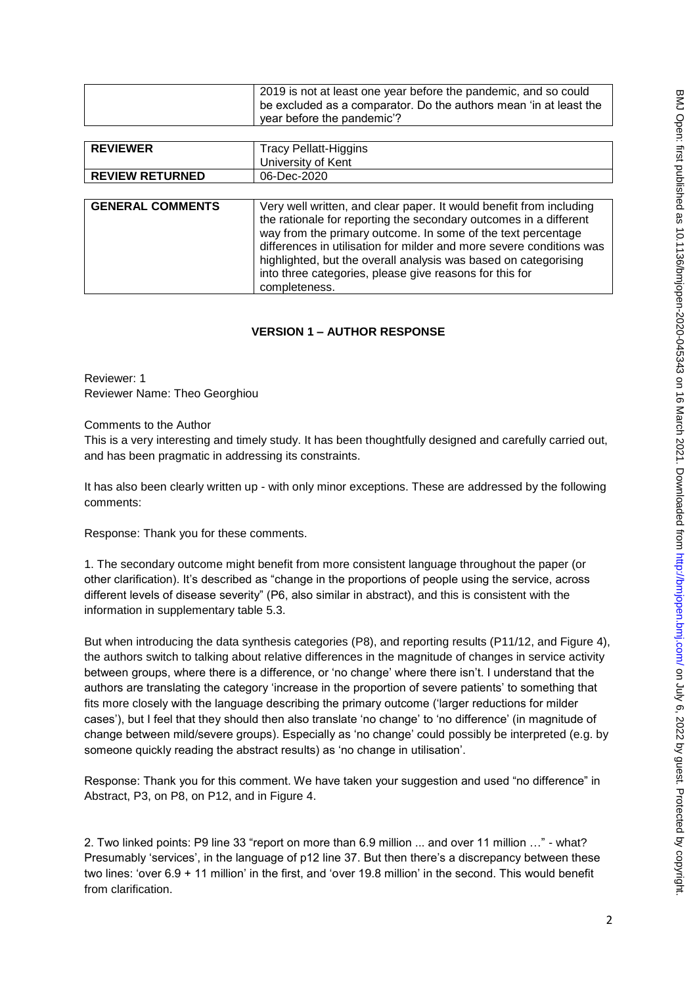| 2019 is not at least one year before the pandemic, and so could<br>be excluded as a comparator. Do the authors mean 'in at least the |
|--------------------------------------------------------------------------------------------------------------------------------------|
| year before the pandemic'?                                                                                                           |

| <b>REVIEWER</b><br><b>REVIEW RETURNED</b> | <b>Tracy Pellatt-Higgins</b><br>University of Kent<br>06-Dec-2020                                                                                                                                                                                                                                                                                                                                                               |
|-------------------------------------------|---------------------------------------------------------------------------------------------------------------------------------------------------------------------------------------------------------------------------------------------------------------------------------------------------------------------------------------------------------------------------------------------------------------------------------|
| <b>GENERAL COMMENTS</b>                   | Very well written, and clear paper. It would benefit from including<br>the rationale for reporting the secondary outcomes in a different<br>way from the primary outcome. In some of the text percentage<br>differences in utilisation for milder and more severe conditions was<br>highlighted, but the overall analysis was based on categorising<br>into three categories, please give reasons for this for<br>completeness. |

# **VERSION 1 – AUTHOR RESPONSE**

Reviewer: 1 Reviewer Name: Theo Georghiou

Comments to the Author

This is a very interesting and timely study. It has been thoughtfully designed and carefully carried out, and has been pragmatic in addressing its constraints.

It has also been clearly written up - with only minor exceptions. These are addressed by the following comments:

Response: Thank you for these comments.

1. The secondary outcome might benefit from more consistent language throughout the paper (or other clarification). It's described as "change in the proportions of people using the service, across different levels of disease severity" (P6, also similar in abstract), and this is consistent with the information in supplementary table 5.3.

But when introducing the data synthesis categories (P8), and reporting results (P11/12, and Figure 4), the authors switch to talking about relative differences in the magnitude of changes in service activity between groups, where there is a difference, or 'no change' where there isn't. I understand that the authors are translating the category 'increase in the proportion of severe patients' to something that fits more closely with the language describing the primary outcome ('larger reductions for milder cases'), but I feel that they should then also translate 'no change' to 'no difference' (in magnitude of change between mild/severe groups). Especially as 'no change' could possibly be interpreted (e.g. by someone quickly reading the abstract results) as 'no change in utilisation'.

Response: Thank you for this comment. We have taken your suggestion and used "no difference" in Abstract, P3, on P8, on P12, and in Figure 4.

2. Two linked points: P9 line 33 "report on more than 6.9 million ... and over 11 million …" - what? Presumably 'services', in the language of p12 line 37. But then there's a discrepancy between these two lines: 'over 6.9 + 11 million' in the first, and 'over 19.8 million' in the second. This would benefit from clarification.